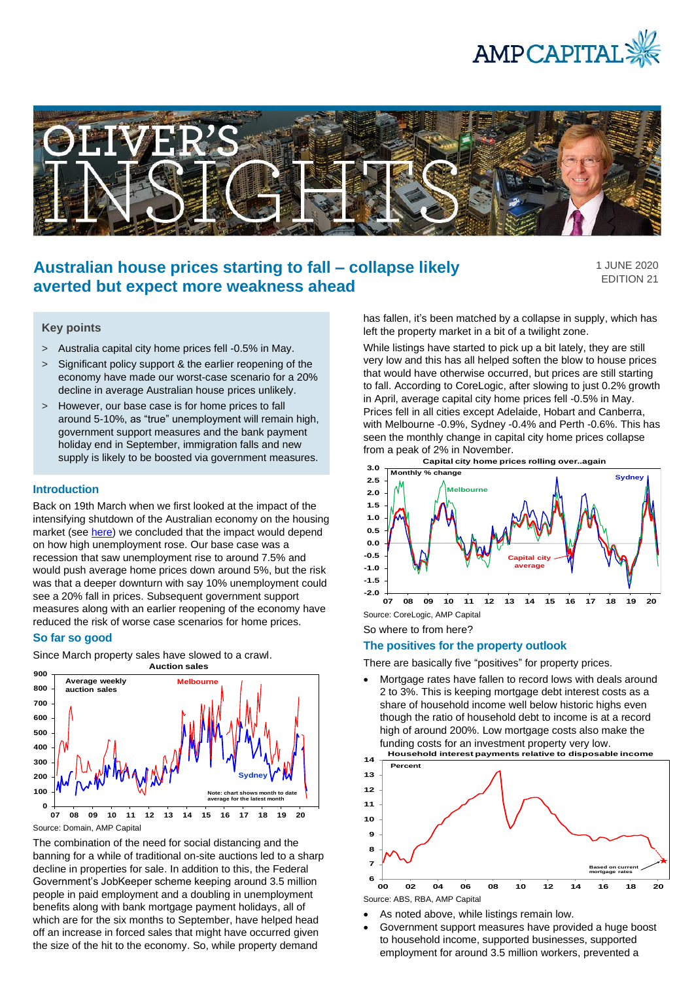



# **Australian house prices starting to fall – collapse likely averted but expect more weakness ahead**

1 JUNE 2020 EDITION 21

## **Key points**

- > Australia capital city home prices fell -0.5% in May.
- > Significant policy support & the earlier reopening of the economy have made our worst-case scenario for a 20% decline in average Australian house prices unlikely.
- > However, our base case is for home prices to fall around 5-10%, as "true" unemployment will remain high, government support measures and the bank payment holiday end in September, immigration falls and new supply is likely to be boosted via government measures.

#### **Introduction**

Back on 19th March when we first looked at the impact of the intensifying shutdown of the Australian economy on the housing market (see [here\)](https://www.ampcapital.com/au/en/insights-hub/articles/2020/march/the-threat-to-australian-house-prices-from-coronavirus) we concluded that the impact would depend on how high unemployment rose. Our base case was a recession that saw unemployment rise to around 7.5% and would push average home prices down around 5%, but the risk was that a deeper downturn with say 10% unemployment could see a 20% fall in prices. Subsequent government support measures along with an earlier reopening of the economy have reduced the risk of worse case scenarios for home prices.

#### **So far so good**

Since March property sales have slowed to a crawl. **Auction sales**



Source: Domain, AMP Capital

The combination of the need for social distancing and the banning for a while of traditional on-site auctions led to a sharp decline in properties for sale. In addition to this, the Federal Government's JobKeeper scheme keeping around 3.5 million people in paid employment and a doubling in unemployment benefits along with bank mortgage payment holidays, all of which are for the six months to September, have helped head off an increase in forced sales that might have occurred given the size of the hit to the economy. So, while property demand

has fallen, it's been matched by a collapse in supply, which has left the property market in a bit of a twilight zone.

While listings have started to pick up a bit lately, they are still very low and this has all helped soften the blow to house prices that would have otherwise occurred, but prices are still starting to fall. According to CoreLogic, after slowing to just 0.2% growth in April, average capital city home prices fell -0.5% in May. Prices fell in all cities except Adelaide, Hobart and Canberra, with Melbourne -0.9%, Sydney -0.4% and Perth -0.6%. This has seen the monthly change in capital city home prices collapse from a peak of 2% in November.



So where to from here?

### **The positives for the property outlook**

There are basically five "positives" for property prices.

• Mortgage rates have fallen to record lows with deals around 2 to 3%. This is keeping mortgage debt interest costs as a share of household income well below historic highs even though the ratio of household debt to income is at a record high of around 200%. Low mortgage costs also make the funding costs for an investment property very low. **Household interest payments relative to disposable income** 



- As noted above, while listings remain low.
- Government support measures have provided a huge boost to household income, supported businesses, supported employment for around 3.5 million workers, prevented a